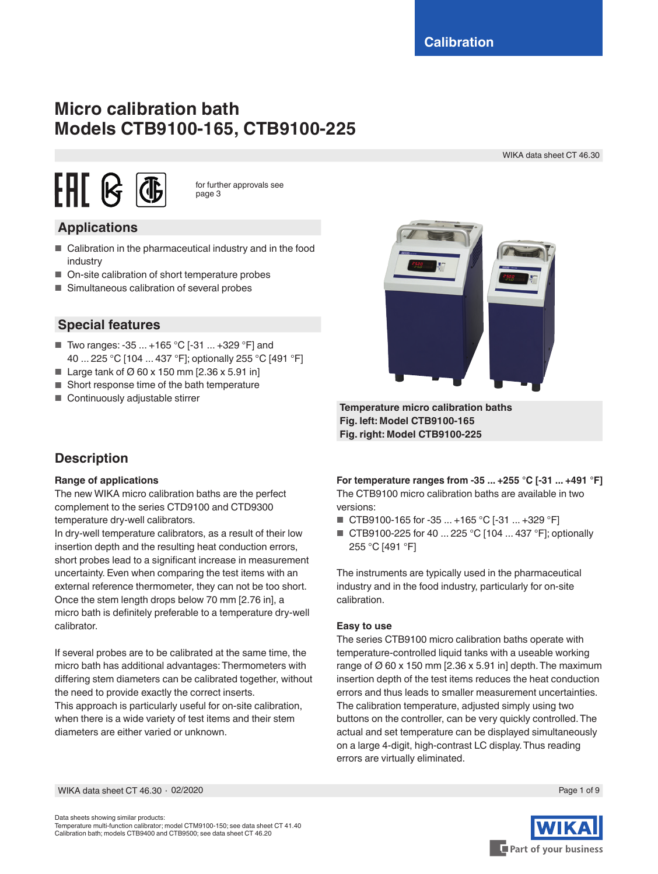# **Micro calibration bath Models CTB9100-165, CTB9100-225**

WIKA data sheet CT 46.30



for further approvals see page 3

## **Applications**

- Calibration in the pharmaceutical industry and in the food industry
- On-site calibration of short temperature probes
- Simultaneous calibration of several probes



**Special features**

- Two ranges: -35 ... +165 °C [-31 ... +329 °F] and 40 ... 225 °C [104 ... 437 °F]; optionally 255 °C [491 °F]
- Large tank of  $\varnothing$  60 x 150 mm [2.36 x 5.91 in]
- Short response time of the bath temperature
- Continuously adjustable stirrer

## **Description**

#### **Range of applications**

The new WIKA micro calibration baths are the perfect complement to the series CTD9100 and CTD9300 temperature dry-well calibrators.

In dry-well temperature calibrators, as a result of their low insertion depth and the resulting heat conduction errors, short probes lead to a significant increase in measurement uncertainty. Even when comparing the test items with an external reference thermometer, they can not be too short. Once the stem length drops below 70 mm [2.76 in], a micro bath is definitely preferable to a temperature dry-well calibrator.

If several probes are to be calibrated at the same time, the micro bath has additional advantages: Thermometers with differing stem diameters can be calibrated together, without the need to provide exactly the correct inserts.

This approach is particularly useful for on-site calibration, when there is a wide variety of test items and their stem diameters are either varied or unknown.

**Fig. left: Model CTB9100-165 Fig. right: Model CTB9100-225**

**Temperature micro calibration baths**

**For temperature ranges from -35 ... +255 °C [-31 ... +491 °F]** The CTB9100 micro calibration baths are available in two versions:

- CTB9100-165 for -35 ... +165 °C [-31 ... +329 °F]
- CTB9100-225 for 40 ... 225 °C [104 ... 437 °F]; optionally 255 °C [491 °F]

The instruments are typically used in the pharmaceutical industry and in the food industry, particularly for on-site calibration.

#### **Easy to use**

The series CTB9100 micro calibration baths operate with temperature-controlled liquid tanks with a useable working range of  $\varnothing$  60 x 150 mm [2.36 x 5.91 in] depth. The maximum insertion depth of the test items reduces the heat conduction errors and thus leads to smaller measurement uncertainties. The calibration temperature, adjusted simply using two buttons on the controller, can be very quickly controlled. The actual and set temperature can be displayed simultaneously on a large 4-digit, high-contrast LC display. Thus reading errors are virtually eliminated.

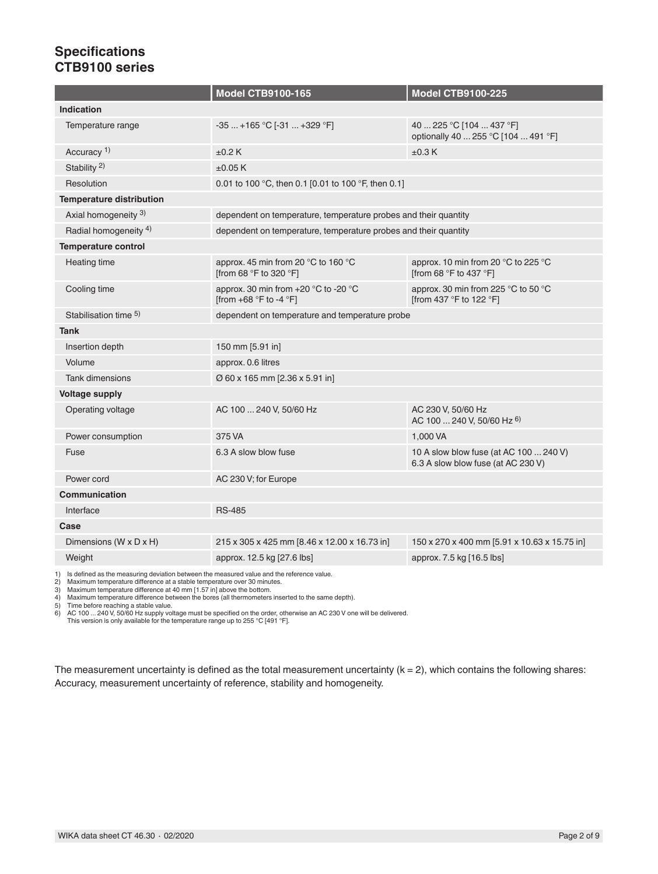### **Specifications CTB9100 series**

|                                                                                             | <b>Model CTB9100-165</b>                                                          | <b>Model CTB9100-225</b>                                                     |  |  |
|---------------------------------------------------------------------------------------------|-----------------------------------------------------------------------------------|------------------------------------------------------------------------------|--|--|
| <b>Indication</b>                                                                           |                                                                                   |                                                                              |  |  |
| Temperature range                                                                           | $-35+165$ °C [ $-31+329$ °F]                                                      | 40  225 °C [104  437 °F]<br>optionally 40  255 °C [104  491 °F]              |  |  |
| Accuracy <sup>1)</sup>                                                                      | ±0.2K                                                                             | ±0.3K                                                                        |  |  |
| Stability $^{2)}$                                                                           | $\pm 0.05$ K                                                                      |                                                                              |  |  |
| Resolution                                                                                  | 0.01 to 100 °C, then 0.1 [0.01 to 100 °F, then 0.1]                               |                                                                              |  |  |
| <b>Temperature distribution</b>                                                             |                                                                                   |                                                                              |  |  |
| Axial homogeneity 3)                                                                        | dependent on temperature, temperature probes and their quantity                   |                                                                              |  |  |
| Radial homogeneity <sup>4)</sup>                                                            | dependent on temperature, temperature probes and their quantity                   |                                                                              |  |  |
| <b>Temperature control</b>                                                                  |                                                                                   |                                                                              |  |  |
| Heating time                                                                                | approx. 45 min from 20 $^{\circ}$ C to 160 $^{\circ}$ C<br>[from 68 °F to 320 °F] | approx. 10 min from 20 °C to 225 °C<br>[from 68 °F to 437 °F]                |  |  |
| Cooling time                                                                                | approx. 30 min from +20 °C to -20 °C<br>[from +68 °F to -4 °F]                    | approx. 30 min from 225 °C to 50 °C<br>[from 437 °F to 122 °F]               |  |  |
| Stabilisation time 5)                                                                       | dependent on temperature and temperature probe                                    |                                                                              |  |  |
| <b>Tank</b>                                                                                 |                                                                                   |                                                                              |  |  |
| Insertion depth                                                                             | 150 mm [5.91 in]                                                                  |                                                                              |  |  |
| Volume                                                                                      | approx. 0.6 litres                                                                |                                                                              |  |  |
| <b>Tank dimensions</b>                                                                      | Ø 60 x 165 mm [2.36 x 5.91 in]                                                    |                                                                              |  |  |
| <b>Voltage supply</b>                                                                       |                                                                                   |                                                                              |  |  |
| Operating voltage                                                                           | AC 100  240 V, 50/60 Hz                                                           | AC 230 V, 50/60 Hz<br>AC 100  240 V, 50/60 Hz 6)                             |  |  |
| Power consumption                                                                           | 375 VA                                                                            | 1,000 VA                                                                     |  |  |
| Fuse                                                                                        | 6.3 A slow blow fuse                                                              | 10 A slow blow fuse (at AC 100  240 V)<br>6.3 A slow blow fuse (at AC 230 V) |  |  |
| Power cord                                                                                  | AC 230 V; for Europe                                                              |                                                                              |  |  |
| <b>Communication</b>                                                                        |                                                                                   |                                                                              |  |  |
| Interface                                                                                   | <b>RS-485</b>                                                                     |                                                                              |  |  |
| Case                                                                                        |                                                                                   |                                                                              |  |  |
| Dimensions (W x D x H)                                                                      | 215 x 305 x 425 mm [8.46 x 12.00 x 16.73 in]                                      | 150 x 270 x 400 mm [5.91 x 10.63 x 15.75 in]                                 |  |  |
| Weight                                                                                      | approx. 12.5 kg [27.6 lbs]                                                        | approx. 7.5 kg [16.5 lbs]                                                    |  |  |
| 1) Is defined as the measuring deviation between the measured value and the reference value |                                                                                   |                                                                              |  |  |

1) Is defined as the measuring deviation between the measured value and the reference value.<br>2) Maximum temperature difference at a stable temperature over 30 minutes.<br>3) Maximum temperature difference at 40 mm [1.57 in] a

5) Time before reaching a stable value.<br>6) AC 100 ... 240 V, 50/60 Hz supply voltage must be specified on the order, otherwise an AC 230 V one will be delivered.<br>This version is only available for the temperature range up

The measurement uncertainty is defined as the total measurement uncertainty  $(k = 2)$ , which contains the following shares: Accuracy, measurement uncertainty of reference, stability and homogeneity.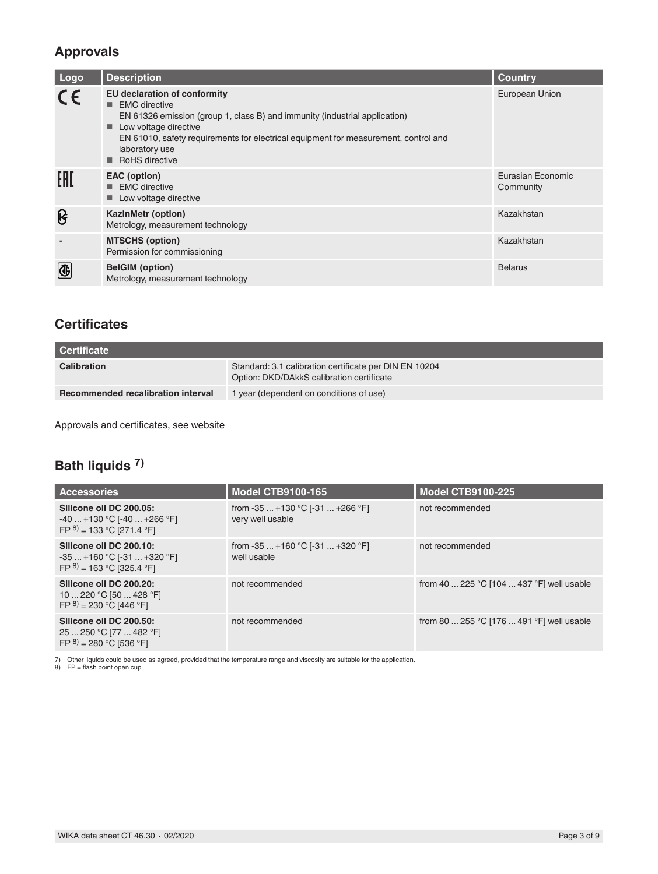## **Approvals**

| Logo                    | <b>Description</b>                                                                                                                                                                                                                                                                          | <b>Country</b>                 |
|-------------------------|---------------------------------------------------------------------------------------------------------------------------------------------------------------------------------------------------------------------------------------------------------------------------------------------|--------------------------------|
| CE                      | EU declaration of conformity<br><b>EMC</b> directive<br>٠<br>EN 61326 emission (group 1, class B) and immunity (industrial application)<br>Low voltage directive<br>EN 61010, safety requirements for electrical equipment for measurement, control and<br>laboratory use<br>RoHS directive | European Union                 |
| EAC                     | EAC (option)<br><b>EMC</b> directive<br>Low voltage directive                                                                                                                                                                                                                               | Eurasian Economic<br>Community |
| ၆                       | <b>KazinMetr (option)</b><br>Metrology, measurement technology                                                                                                                                                                                                                              | Kazakhstan                     |
|                         | <b>MTSCHS (option)</b><br>Permission for commissioning                                                                                                                                                                                                                                      | Kazakhstan                     |
| $\overline{\textbf{G}}$ | <b>BelGIM</b> (option)<br>Metrology, measurement technology                                                                                                                                                                                                                                 | <b>Belarus</b>                 |

### **Certificates**

| <b>Certificate</b>                 |                                                                                                     |  |
|------------------------------------|-----------------------------------------------------------------------------------------------------|--|
| <b>Calibration</b>                 | Standard: 3.1 calibration certificate per DIN EN 10204<br>Option: DKD/DAkkS calibration certificate |  |
| Recommended recalibration interval | 1 year (dependent on conditions of use)                                                             |  |

Approvals and certificates, see website

## **Bath liquids 7)**

| <b>Accessories</b>                                                                        | <b>Model CTB9100-165</b>                              | <b>Model CTB9100-225</b>                  |
|-------------------------------------------------------------------------------------------|-------------------------------------------------------|-------------------------------------------|
| Silicone oil DC 200.05:<br>$-40$ +130 °C [-40  +266 °F]<br>FP $^{8)}$ = 133 °C [271.4 °F] | from $-35+130$ °C [ $-31+266$ °F]<br>very well usable | not recommended                           |
| Silicone oil DC 200.10:<br>$-35+160 °C$ [-31  +320 °F]<br>FP $^{8)}$ = 163 °C [325.4 °F]  | from $-35+160$ °C [ $-31+320$ °F]<br>well usable      | not recommended                           |
| Silicone oil DC 200.20:<br>10  220 °C [50  428 °F]<br>FP $^{8)}$ = 230 °C [446 °F]        | not recommended                                       | from 40  225 °C [104  437 °F] well usable |
| Silicone oil DC 200.50:<br>25  250 °C [77  482 °F]<br>FP $^{8)}$ = 280 °C [536 °F]        | not recommended                                       | from 80  255 °C [176  491 °F] well usable |

7) Other liquids could be used as agreed, provided that the temperature range and viscosity are suitable for the application. 8) FP = flash point open cup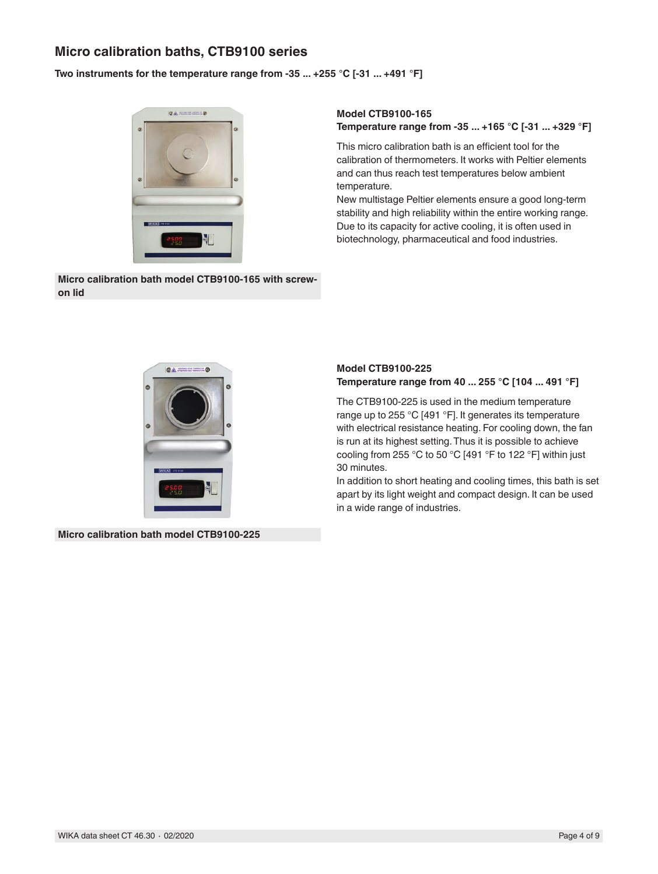### **Micro calibration baths, CTB9100 series**

#### **Two instruments for the temperature range from -35 ... +255 °C [-31 ... +491 °F]**



**Micro calibration bath model CTB9100-165 with screwon lid**

#### **Model CTB9100-165 Temperature range from -35 ... +165 °C [-31 ... +329 °F]**

This micro calibration bath is an efficient tool for the calibration of thermometers. It works with Peltier elements and can thus reach test temperatures below ambient temperature.

New multistage Peltier elements ensure a good long-term stability and high reliability within the entire working range. Due to its capacity for active cooling, it is often used in biotechnology, pharmaceutical and food industries.



### **Temperature range from 40 ... 255 °C [104 ... 491 °F]** The CTB9100-225 is used in the medium temperature

**Model CTB9100-225**

range up to 255 °C [491 °F]. It generates its temperature with electrical resistance heating. For cooling down, the fan is run at its highest setting. Thus it is possible to achieve cooling from 255 °C to 50 °C [491 °F to 122 °F] within just 30 minutes.

In addition to short heating and cooling times, this bath is set apart by its light weight and compact design. It can be used in a wide range of industries.

**Micro calibration bath model CTB9100-225**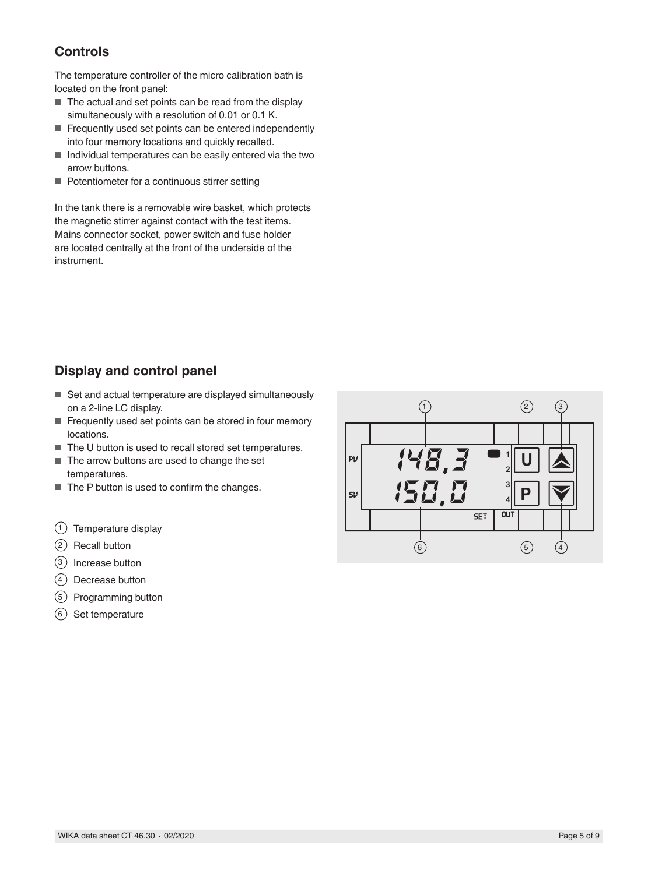## **Controls**

The temperature controller of the micro calibration bath is located on the front panel:

- The actual and set points can be read from the display simultaneously with a resolution of 0.01 or 0.1 K.
- Frequently used set points can be entered independently into four memory locations and quickly recalled.
- Individual temperatures can be easily entered via the two arrow buttons.
- Potentiometer for a continuous stirrer setting

In the tank there is a removable wire basket, which protects the magnetic stirrer against contact with the test items. Mains connector socket, power switch and fuse holder are located centrally at the front of the underside of the instrument.

## **Display and control panel**

- Set and actual temperature are displayed simultaneously on a 2-line LC display.
- Frequently used set points can be stored in four memory locations.
- The U button is used to recall stored set temperatures.
- The arrow buttons are used to change the set temperatures.
- The P button is used to confirm the changes.
- $(1)$  Temperature display
- 2 Recall button
- 3 Increase button
- $(4)$  Decrease button
- 5 Programming button
- 6 Set temperature

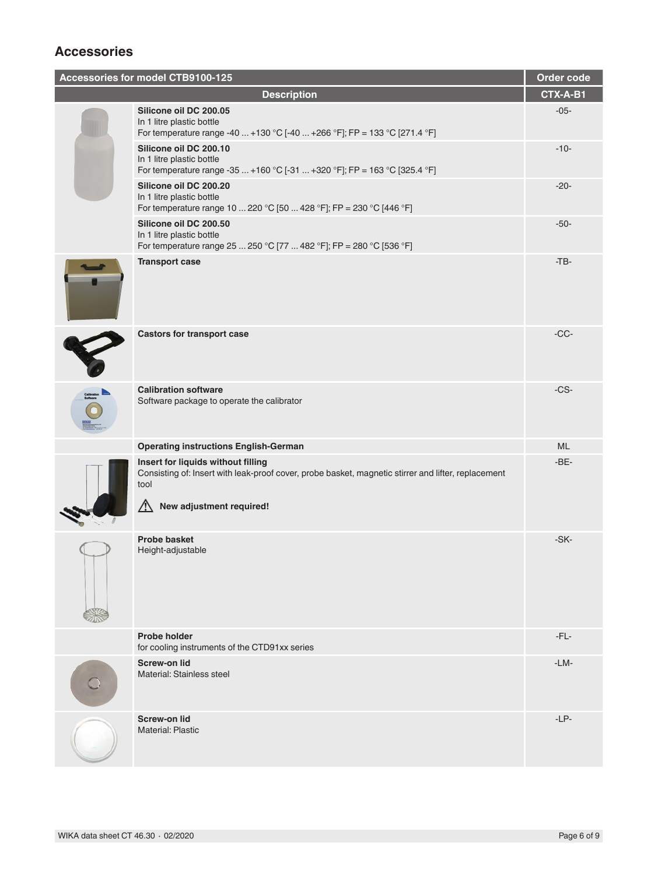## **Accessories**

| Accessories for model CTB9100-125                                                                                                                                                                                                                                                                                                                                                                                                                             |                                                                                                                                                                                     | Order code |
|---------------------------------------------------------------------------------------------------------------------------------------------------------------------------------------------------------------------------------------------------------------------------------------------------------------------------------------------------------------------------------------------------------------------------------------------------------------|-------------------------------------------------------------------------------------------------------------------------------------------------------------------------------------|------------|
| <b>Description</b>                                                                                                                                                                                                                                                                                                                                                                                                                                            |                                                                                                                                                                                     | CTX-A-B1   |
|                                                                                                                                                                                                                                                                                                                                                                                                                                                               | Silicone oil DC 200.05<br>In 1 litre plastic bottle<br>For temperature range -40  +130 °C [-40  +266 °F]; FP = 133 °C [271.4 °F]                                                    | $-05-$     |
|                                                                                                                                                                                                                                                                                                                                                                                                                                                               | Silicone oil DC 200.10<br>In 1 litre plastic bottle<br>For temperature range -35  +160 °C [-31  +320 °F]; FP = 163 °C [325.4 °F]                                                    | $-10-$     |
|                                                                                                                                                                                                                                                                                                                                                                                                                                                               | Silicone oil DC 200.20<br>In 1 litre plastic bottle<br>For temperature range 10  220 °C [50  428 °F]; FP = 230 °C [446 °F]                                                          | $-20-$     |
|                                                                                                                                                                                                                                                                                                                                                                                                                                                               | Silicone oil DC 200.50<br>In 1 litre plastic bottle<br>For temperature range 25  250 °C [77  482 °F]; FP = 280 °C [536 °F]                                                          | $-50-$     |
|                                                                                                                                                                                                                                                                                                                                                                                                                                                               | <b>Transport case</b>                                                                                                                                                               | $-TB-$     |
|                                                                                                                                                                                                                                                                                                                                                                                                                                                               | <b>Castors for transport case</b>                                                                                                                                                   | $-CC-$     |
| $\begin{array}{c}\n\text{Cov} \\ \text{Cov} \\ \text{Cov} \\ \text{Cov} \\ \text{Cov} \\ \text{Cov} \\ \text{Cov} \\ \text{Cov} \\ \text{Cov} \\ \text{Cov} \\ \text{Cov} \\ \text{Cov} \\ \text{Cov} \\ \text{Cov} \\ \text{Cov} \\ \text{Cov} \\ \text{Cov} \\ \text{Cov} \\ \text{Cov} \\ \text{Cov} \\ \text{Cov} \\ \text{Cov} \\ \text{Cov} \\ \text{Cov} \\ \text{Cov} \\ \text{Cov} \\ \text{Cov} \\ \text{Cov} \\ \text{Cov} \\ \text{Cov} \\ \text$ | <b>Calibration software</b><br>Software package to operate the calibrator                                                                                                           | $-CS-$     |
|                                                                                                                                                                                                                                                                                                                                                                                                                                                               | <b>Operating instructions English-German</b>                                                                                                                                        | ML         |
|                                                                                                                                                                                                                                                                                                                                                                                                                                                               | Insert for liquids without filling<br>Consisting of: Insert with leak-proof cover, probe basket, magnetic stirrer and lifter, replacement<br>tool<br>∕∖<br>New adjustment required! | $-BE-$     |
|                                                                                                                                                                                                                                                                                                                                                                                                                                                               | <b>Probe basket</b><br>Height-adjustable                                                                                                                                            | $-SK-$     |
|                                                                                                                                                                                                                                                                                                                                                                                                                                                               | <b>Probe holder</b><br>for cooling instruments of the CTD91xx series                                                                                                                | $-FL-$     |
|                                                                                                                                                                                                                                                                                                                                                                                                                                                               | <b>Screw-on lid</b><br>Material: Stainless steel                                                                                                                                    | $-LM-$     |
|                                                                                                                                                                                                                                                                                                                                                                                                                                                               | <b>Screw-on lid</b><br><b>Material: Plastic</b>                                                                                                                                     | $-LP-$     |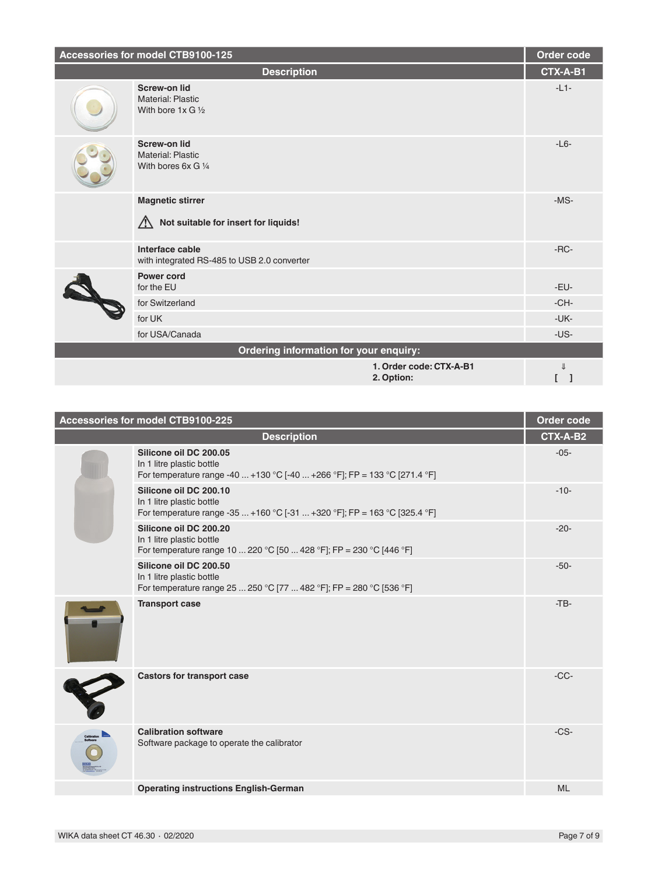| Accessories for model CTB9100-125      |                                                                         | Order code                            |          |
|----------------------------------------|-------------------------------------------------------------------------|---------------------------------------|----------|
|                                        | <b>Description</b>                                                      |                                       | CTX-A-B1 |
|                                        | <b>Screw-on lid</b><br>Material: Plastic<br>With bore $1x$ G $1/2$      |                                       | $-L1-$   |
|                                        | <b>Screw-on lid</b><br>Material: Plastic<br>With bores $6xG\frac{1}{4}$ |                                       | $-L6-$   |
|                                        | <b>Magnetic stirrer</b><br>Not suitable for insert for liquids!<br>ハ    |                                       | $-MS-$   |
|                                        | Interface cable<br>with integrated RS-485 to USB 2.0 converter          |                                       | $-RC-$   |
|                                        | <b>Power cord</b><br>for the EU                                         |                                       | -EU-     |
|                                        | for Switzerland                                                         |                                       | $-CH-$   |
|                                        | for UK                                                                  |                                       | $-UK-$   |
|                                        | for USA/Canada                                                          |                                       | $-US -$  |
| Ordering information for your enquiry: |                                                                         |                                       |          |
|                                        |                                                                         | 1. Order code: CTX-A-B1<br>2. Option: | JL       |

| Accessories for model CTB9100-225 |                                                                                                                                  | Order code |
|-----------------------------------|----------------------------------------------------------------------------------------------------------------------------------|------------|
|                                   | <b>Description</b>                                                                                                               | CTX-A-B2   |
|                                   | Silicone oil DC 200.05<br>In 1 litre plastic bottle<br>For temperature range -40  +130 °C [-40  +266 °F]; FP = 133 °C [271.4 °F] | $-05-$     |
|                                   | Silicone oil DC 200.10<br>In 1 litre plastic bottle<br>For temperature range -35  +160 °C [-31  +320 °F]; FP = 163 °C [325.4 °F] | $-10-$     |
|                                   | Silicone oil DC 200.20<br>In 1 litre plastic bottle<br>For temperature range 10  220 °C [50  428 °F]; FP = 230 °C [446 °F]       | $-20-$     |
|                                   | Silicone oil DC 200.50<br>In 1 litre plastic bottle<br>For temperature range 25  250 °C [77  482 °F]; FP = 280 °C [536 °F]       | $-50-$     |
|                                   | <b>Transport case</b>                                                                                                            | $-TB$      |
|                                   | <b>Castors for transport case</b>                                                                                                | $-CC-$     |
| $\overline{\overline{0}}$         | <b>Calibration software</b><br>Software package to operate the calibrator                                                        | $-CS-$     |
|                                   | <b>Operating instructions English-German</b>                                                                                     | <b>ML</b>  |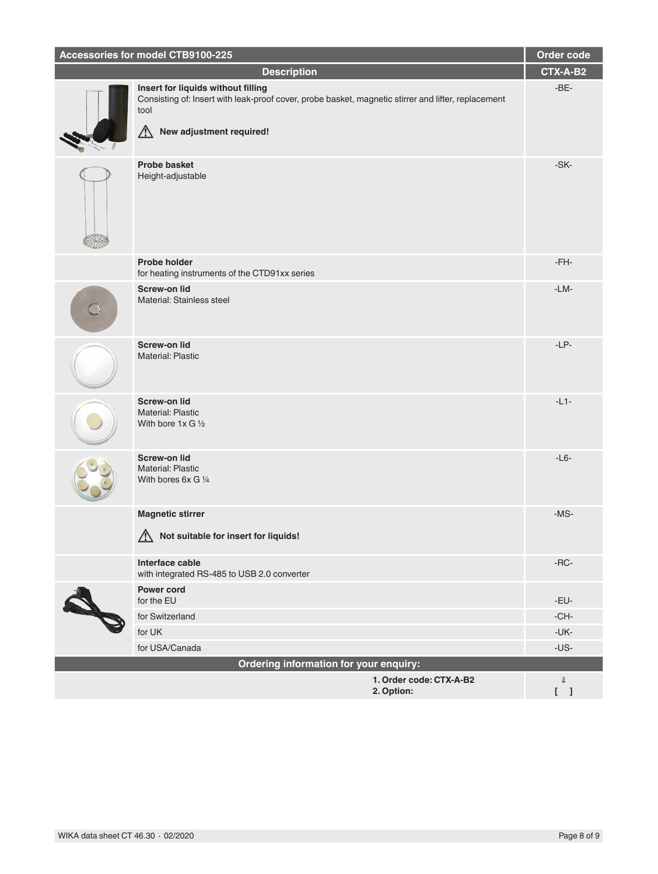| Accessories for model CTB9100-225 |                                                                                                                                                                                    | Order code   |
|-----------------------------------|------------------------------------------------------------------------------------------------------------------------------------------------------------------------------------|--------------|
|                                   | <b>Description</b>                                                                                                                                                                 | CTX-A-B2     |
|                                   | Insert for liquids without filling<br>Consisting of: Insert with leak-proof cover, probe basket, magnetic stirrer and lifter, replacement<br>tool<br>New adjustment required!<br>八 | $-BE-$       |
|                                   | <b>Probe basket</b><br>Height-adjustable                                                                                                                                           | $-SK-$       |
|                                   | <b>Probe holder</b><br>for heating instruments of the CTD91xx series                                                                                                               | $-FH-$       |
|                                   | <b>Screw-on lid</b><br>Material: Stainless steel                                                                                                                                   | $-LM-$       |
|                                   | <b>Screw-on lid</b><br><b>Material: Plastic</b>                                                                                                                                    | $-LP-$       |
|                                   | <b>Screw-on lid</b><br>Material: Plastic<br>With bore $1x \times 1/2$                                                                                                              | $-L1-$       |
|                                   | <b>Screw-on lid</b><br>Material: Plastic<br>With bores 6x G 1/4                                                                                                                    | $-L6-$       |
|                                   | <b>Magnetic stirrer</b><br>Not suitable for insert for liquids!                                                                                                                    | $-MS-$       |
|                                   | Interface cable<br>with integrated RS-485 to USB 2.0 converter                                                                                                                     | $-RC-$       |
|                                   | <b>Power cord</b><br>for the EU                                                                                                                                                    | $-EU$ -      |
| <b>RAND</b>                       | for Switzerland                                                                                                                                                                    | $-CH-$       |
|                                   | for UK                                                                                                                                                                             | $-UK-$       |
|                                   | for USA/Canada                                                                                                                                                                     | $-US -$      |
|                                   | Ordering information for your enquiry:                                                                                                                                             |              |
|                                   | 1. Order code: CTX-A-B2<br>2. Option:                                                                                                                                              | $\Downarrow$ |